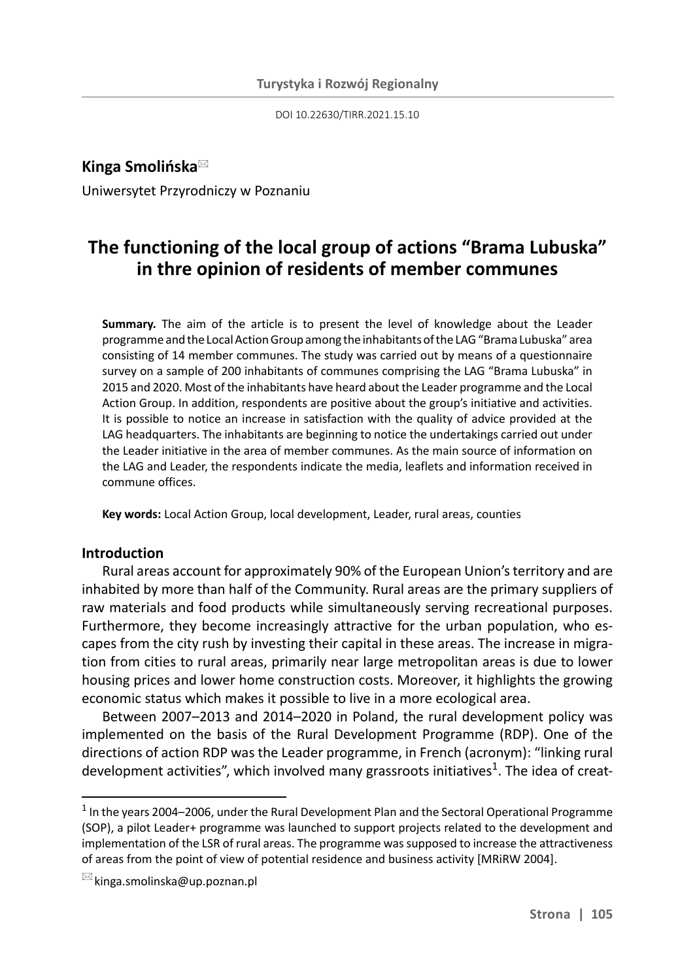DOI 10.22630/TIRR.2021.15.10

## **Kinga Smolińska**

Uniwersytet Przyrodniczy w Poznaniu

# **The functioning of the local group of actions "Brama Lubuska" in thre opinion of residents of member communes**

**Summary.** The aim of the article is to present the level of knowledge about the Leader programme and the Local Action Group among the inhabitants of the LAG "Brama Lubuska" area consisting of 14 member communes. The study was carried out by means of a questionnaire survey on a sample of 200 inhabitants of communes comprising the LAG "Brama Lubuska" in 2015 and 2020. Most of the inhabitants have heard about the Leader programme and the Local Action Group. In addition, respondents are positive about the group's initiative and activities. It is possible to notice an increase in satisfaction with the quality of advice provided at the LAG headquarters. The inhabitants are beginning to notice the undertakings carried out under the Leader initiative in the area of member communes. As the main source of information on the LAG and Leader, the respondents indicate the media, leaflets and information received in commune offices.

**Key words:** Local Action Group, local development, Leader, rural areas, counties

#### **Introduction**

Rural areas account for approximately 90% of the European Union's territory and are inhabited by more than half of the Community. Rural areas are the primary suppliers of raw materials and food products while simultaneously serving recreational purposes. Furthermore, they become increasingly attractive for the urban population, who escapes from the city rush by investing their capital in these areas. The increase in migration from cities to rural areas, primarily near large metropolitan areas is due to lower housing prices and lower home construction costs. Moreover, it highlights the growing economic status which makes it possible to live in a more ecological area.

Between 2007–2013 and 2014–2020 in Poland, the rural development policy was implemented on the basis of the Rural Development Programme (RDP). One of the directions of action RDP was the Leader programme, in French (acronym): "linking rural development activities", which involved many grassroots initiatives<sup>1</sup>. The idea of creat-

 $<sup>1</sup>$  In the years 2004–2006, under the Rural Development Plan and the Sectoral Operational Programme</sup> (SOP), a pilot Leader+ programme was launched to support projects related to the development and implementation of the LSR of rural areas. The programme was supposed to increase the attractiveness of areas from the point of view of potential residence and business activity [MRiRW 2004].

 $\boxtimes$  kinga.smolinska@up.poznan.pl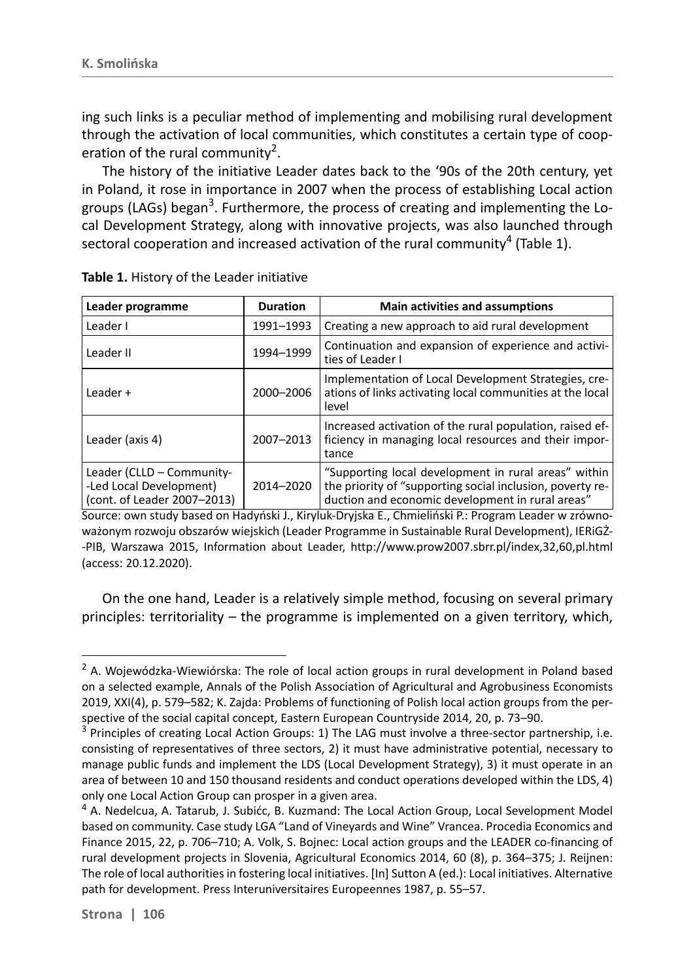ing such links is a peculiar method of implementing and mobilising rural development through the activation of local communities, which constitutes a certain type of cooperation of the rural community<sup>2</sup>.

The history of the initiative Leader dates back to the '90s of the 20th century, yet in Poland, it rose in importance in 2007 when the process of establishing Local action groups (LAGs) began<sup>3</sup>. Furthermore, the process of creating and implementing the Local Development Strategy, along with innovative projects, was also launched through sectoral cooperation and increased activation of the rural community<sup>4</sup> (Table 1).

| Leader programme                                                                    | <b>Duration</b> | <b>Main activities and assumptions</b>                                                                                                                                |  |  |
|-------------------------------------------------------------------------------------|-----------------|-----------------------------------------------------------------------------------------------------------------------------------------------------------------------|--|--|
| Leader I                                                                            | 1991-1993       | Creating a new approach to aid rural development                                                                                                                      |  |  |
| Leader II                                                                           | 1994-1999       | Continuation and expansion of experience and activi-<br>ties of Leader I                                                                                              |  |  |
| Leader $+$                                                                          | 2000-2006       | Implementation of Local Development Strategies, cre-<br>ations of links activating local communities at the local<br>level                                            |  |  |
| Leader (axis 4)                                                                     | 2007-2013       | Increased activation of the rural population, raised ef-<br>ficiency in managing local resources and their impor-<br>tance                                            |  |  |
| Leader (CLLD - Community-<br>-Led Local Development)<br>(cont. of Leader 2007-2013) | 2014-2020       | "Supporting local development in rural areas" within<br>the priority of "supporting social inclusion, poverty re-<br>duction and economic development in rural areas" |  |  |

**Table 1.** History of the Leader initiative

Source: own study based on Hadyński J., Kiryluk-Dryjska E., Chmieliński P.: Program Leader w zrównoważonym rozwoju obszarów wiejskich (Leader Programme in Sustainable Rural Development), IERiGŻ- -PIB, Warszawa 2015, Information about Leader, http://www.prow2007.sbrr.pl/index,32,60,pl.html (access: 20.12.2020).

On the one hand, Leader is a relatively simple method, focusing on several primary principles: territoriality – the programme is implemented on a given territory, which,

<sup>&</sup>lt;sup>2</sup> A. Wojewódzka-Wiewiórska: The role of local action groups in rural development in Poland based on a selected example, Annals of the Polish Association of Agricultural and Agrobusiness Economists 2019, XXI(4), p. 579–582; K. Zajda: Problems of functioning of Polish local action groups from the perspective of the social capital concept, Eastern European Countryside 2014, 20, p. 73–90.

 $3$  Principles of creating Local Action Groups: 1) The LAG must involve a three-sector partnership, i.e. consisting of representatives of three sectors, 2) it must have administrative potential, necessary to manage public funds and implement the LDS (Local Development Strategy), 3) it must operate in an area of between 10 and 150 thousand residents and conduct operations developed within the LDS, 4) only one Local Action Group can prosper in a given area.

<sup>&</sup>lt;sup>4</sup> A. Nedelcua, A. Tatarub, J. Subićc, B. Kuzmand: The Local Action Group, Local Sevelopment Model based on community. Case study LGA "Land of Vineyards and Wine" Vrancea. Procedia Economics and Finance 2015, 22, p. 706–710; A. Volk, S. Bojnec: Local action groups and the LEADER co-financing of rural development projects in Slovenia, Agricultural Economics 2014, 60 (8), p. 364–375; J. Reijnen: The role of local authorities in fostering local initiatives. [In] Sutton A (ed.): Local initiatives. Alternative path for development. Press Interuniversitaires Europeennes 1987, p. 55–57.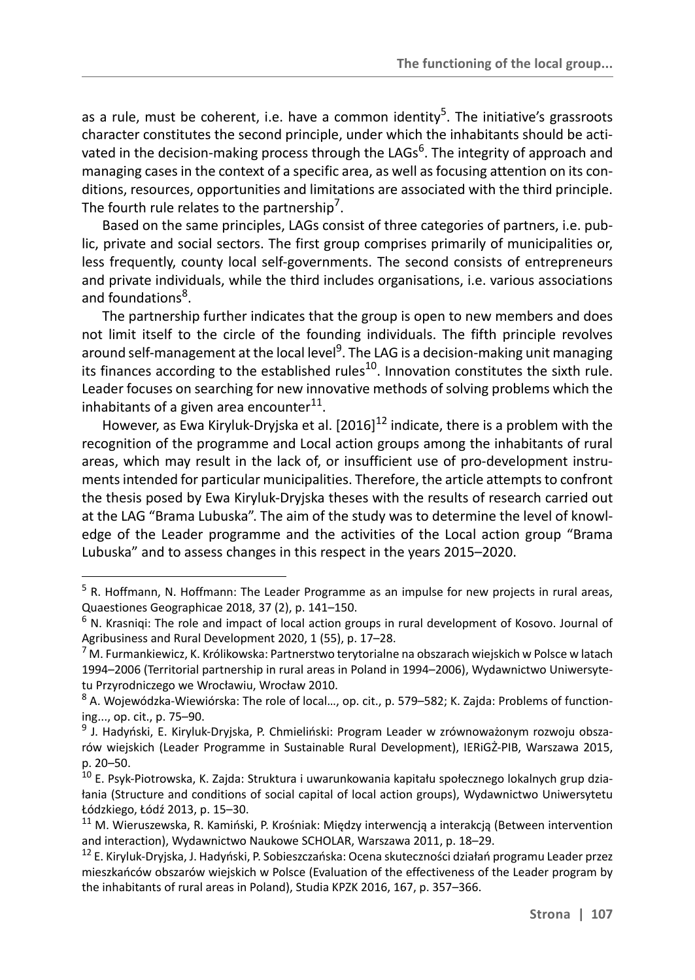as a rule, must be coherent, i.e. have a common identity<sup>5</sup>. The initiative's grassroots character constitutes the second principle, under which the inhabitants should be activated in the decision-making process through the LAGs<sup>6</sup>. The integrity of approach and managing cases in the context of a specific area, as well as focusing attention on its conditions, resources, opportunities and limitations are associated with the third principle. The fourth rule relates to the partnership<sup>7</sup>.

Based on the same principles, LAGs consist of three categories of partners, i.e. public, private and social sectors. The first group comprises primarily of municipalities or, less frequently, county local self-governments. The second consists of entrepreneurs and private individuals, while the third includes organisations, i.e. various associations and foundations<sup>8</sup>.

The partnership further indicates that the group is open to new members and does not limit itself to the circle of the founding individuals. The fifth principle revolves around self-management at the local level<sup>9</sup>. The LAG is a decision-making unit managing its finances according to the established rules $10$ . Innovation constitutes the sixth rule. Leader focuses on searching for new innovative methods of solving problems which the inhabitants of a given area encounter $^{11}$ .

However, as Ewa Kiryluk-Dryjska et al. [2016]12 indicate, there is a problem with the recognition of the programme and Local action groups among the inhabitants of rural areas, which may result in the lack of, or insufficient use of pro-development instruments intended for particular municipalities. Therefore, the article attempts to confront the thesis posed by Ewa Kiryluk-Dryjska theses with the results of research carried out at the LAG "Brama Lubuska". The aim of the study was to determine the level of knowledge of the Leader programme and the activities of the Local action group "Brama Lubuska" and to assess changes in this respect in the years 2015–2020.

<sup>&</sup>lt;sup>5</sup> R. Hoffmann, N. Hoffmann: The Leader Programme as an impulse for new projects in rural areas, Quaestiones Geographicae 2018, 37 (2), p. 141–150.

<sup>&</sup>lt;sup>6</sup> N. Krasniqi: The role and impact of local action groups in rural development of Kosovo. Journal of Agribusiness and Rural Development 2020, 1 (55), p. 17–28.

<sup>&</sup>lt;sup>7</sup> M. Furmankiewicz, K. Królikowska: Partnerstwo terytorialne na obszarach wiejskich w Polsce w latach 1994–2006 (Territorial partnership in rural areas in Poland in 1994–2006), Wydawnictwo Uniwersytetu Przyrodniczego we Wrocławiu, Wrocław 2010.

 $8$  A. Wojewódzka-Wiewiórska: The role of local..., op. cit., p. 579–582; K. Zajda: Problems of functioning..., op. cit., p. 75–90.

<sup>&</sup>lt;sup>9</sup> J. Hadyński, E. Kiryluk-Dryjska, P. Chmieliński: Program Leader w zrównoważonym rozwoju obszarów wiejskich (Leader Programme in Sustainable Rural Development), IERiGŻ-PIB, Warszawa 2015, p. 20–50.

<sup>10</sup> E. Psyk-Piotrowska, K. Zajda: Struktura i uwarunkowania kapitału społecznego lokalnych grup działania (Structure and conditions of social capital of local action groups), Wydawnictwo Uniwersytetu Łódzkiego, Łódź 2013, p. 15–30.<br><sup>11</sup> M. Wieruszewska, R. Kamiński, P. Krośniak: Między interwencją a interakcją (Between intervention

and interaction), Wydawnictwo Naukowe SCHOLAR, Warszawa 2011, p. 18–29.

<sup>&</sup>lt;sup>12</sup> E. Kiryluk-Dryjska, J. Hadyński, P. Sobieszczańska: Ocena skuteczności działań programu Leader przez mieszkańców obszarów wiejskich w Polsce (Evaluation of the effectiveness of the Leader program by the inhabitants of rural areas in Poland), Studia KPZK 2016, 167, p. 357–366.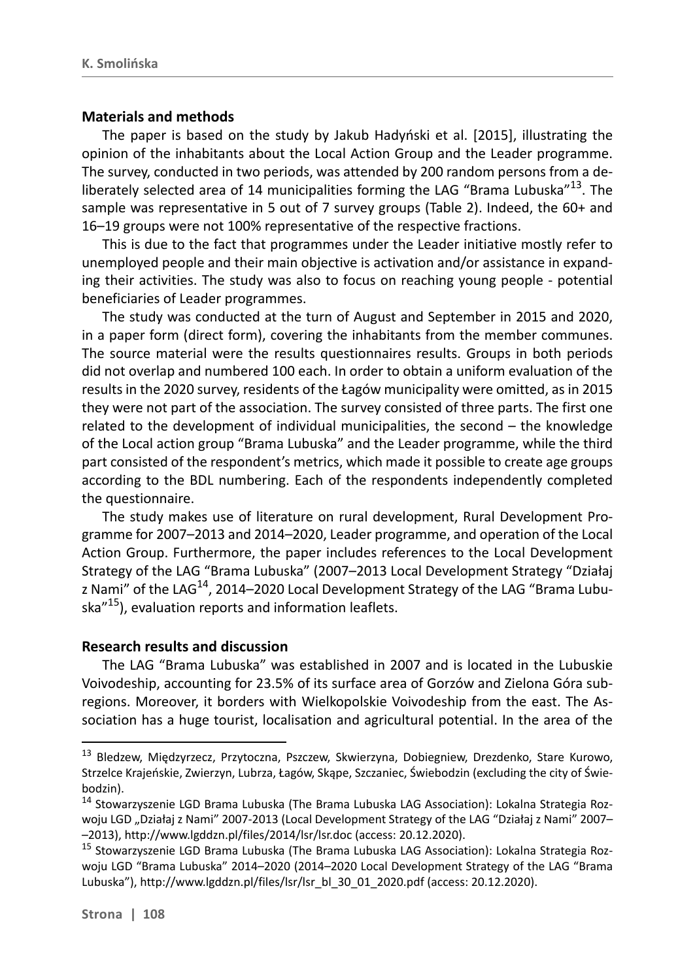#### **Materials and methods**

The paper is based on the study by Jakub Hadyński et al. [2015], illustrating the opinion of the inhabitants about the Local Action Group and the Leader programme. The survey, conducted in two periods, was attended by 200 random persons from a deliberately selected area of 14 municipalities forming the LAG "Brama Lubuska"<sup>13</sup>. The sample was representative in 5 out of 7 survey groups (Table 2). Indeed, the 60+ and 16–19 groups were not 100% representative of the respective fractions.

This is due to the fact that programmes under the Leader initiative mostly refer to unemployed people and their main objective is activation and/or assistance in expanding their activities. The study was also to focus on reaching young people - potential beneficiaries of Leader programmes.

The study was conducted at the turn of August and September in 2015 and 2020, in a paper form (direct form), covering the inhabitants from the member communes. The source material were the results questionnaires results. Groups in both periods did not overlap and numbered 100 each. In order to obtain a uniform evaluation of the results in the 2020 survey, residents of the Łagów municipality were omitted, as in 2015 they were not part of the association. The survey consisted of three parts. The first one related to the development of individual municipalities, the second – the knowledge of the Local action group "Brama Lubuska" and the Leader programme, while the third part consisted of the respondent's metrics, which made it possible to create age groups according to the BDL numbering. Each of the respondents independently completed the questionnaire.

The study makes use of literature on rural development, Rural Development Programme for 2007–2013 and 2014–2020, Leader programme, and operation of the Local Action Group. Furthermore, the paper includes references to the Local Development Strategy of the LAG "Brama Lubuska" (2007–2013 Local Development Strategy "Działaj z Nami" of the LAG<sup>14</sup>, 2014–2020 Local Development Strategy of the LAG "Brama Lubuska<sup>"15</sup>), evaluation reports and information leaflets.

#### **Research results and discussion**

The LAG "Brama Lubuska" was established in 2007 and is located in the Lubuskie Voivodeship, accounting for 23.5% of its surface area of Gorzów and Zielona Góra subregions. Moreover, it borders with Wielkopolskie Voivodeship from the east. The Association has a huge tourist, localisation and agricultural potential. In the area of the

<sup>&</sup>lt;sup>13</sup> Bledzew, Międzyrzecz, Przytoczna, Pszczew, Skwierzyna, Dobiegniew, Drezdenko, Stare Kurowo, Strzelce Krajeńskie, Zwierzyn, Lubrza, Łagów, Skąpe, Szczaniec, Świebodzin (excluding the city of Świebodzin).

<sup>&</sup>lt;sup>14</sup> Stowarzyszenie LGD Brama Lubuska (The Brama Lubuska LAG Association): Lokalna Strategia Rozwoju LGD "Działaj z Nami" 2007-2013 (Local Development Strategy of the LAG "Działaj z Nami" 2007– –2013), http://www.lgddzn.pl/files/2014/lsr/lsr.doc (access: 20.12.2020).

<sup>&</sup>lt;sup>15</sup> Stowarzyszenie LGD Brama Lubuska (The Brama Lubuska LAG Association): Lokalna Strategia Rozwoju LGD "Brama Lubuska" 2014–2020 (2014–2020 Local Development Strategy of the LAG "Brama Lubuska"), http://www.lgddzn.pl/files/lsr/lsr\_bl\_30\_01\_2020.pdf (access: 20.12.2020).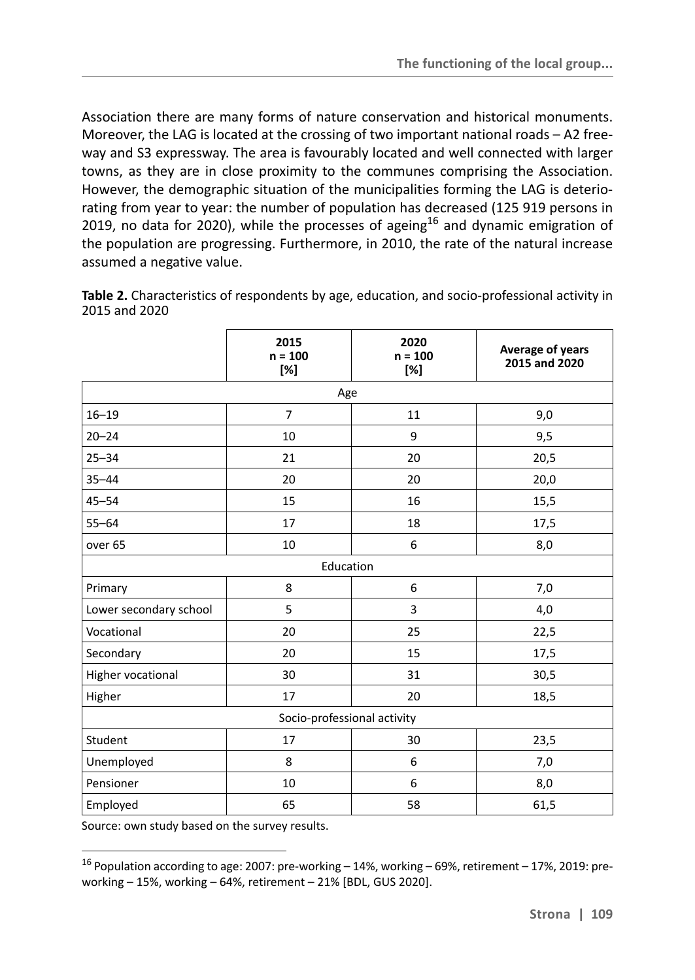Association there are many forms of nature conservation and historical monuments. Moreover, the LAG is located at the crossing of two important national roads – A2 freeway and S3 expressway. The area is favourably located and well connected with larger towns, as they are in close proximity to the communes comprising the Association. However, the demographic situation of the municipalities forming the LAG is deteriorating from year to year: the number of population has decreased (125 919 persons in 2019, no data for 2020), while the processes of ageing<sup>16</sup> and dynamic emigration of the population are progressing. Furthermore, in 2010, the rate of the natural increase assumed a negative value.

**Table 2.** Characteristics of respondents by age, education, and socio-professional activity in 2015 and 2020

|                             | 2015<br>$n = 100$<br>[%] | 2020<br>$n = 100$<br>[%] | Average of years<br>2015 and 2020 |  |  |
|-----------------------------|--------------------------|--------------------------|-----------------------------------|--|--|
| Age                         |                          |                          |                                   |  |  |
| $16 - 19$                   | $\overline{7}$           | 11                       | 9,0                               |  |  |
| $20 - 24$                   | 10                       | 9                        | 9,5                               |  |  |
| $25 - 34$                   | 21                       | 20                       | 20,5                              |  |  |
| $35 - 44$                   | 20                       | 20                       | 20,0                              |  |  |
| $45 - 54$                   | 15                       | 16                       | 15,5                              |  |  |
| $55 - 64$                   | 17                       | 18                       | 17,5                              |  |  |
| over <sub>65</sub>          | 10                       | 6                        | 8,0                               |  |  |
| Education                   |                          |                          |                                   |  |  |
| Primary                     | 8                        | 6                        | 7,0                               |  |  |
| Lower secondary school      | 5                        | 3                        | 4,0                               |  |  |
| Vocational                  | 20                       | 25                       | 22,5                              |  |  |
| Secondary                   | 20                       | 15                       | 17,5                              |  |  |
| Higher vocational           | 30                       | 31                       | 30,5                              |  |  |
| Higher                      | 17                       | 20                       | 18,5                              |  |  |
| Socio-professional activity |                          |                          |                                   |  |  |
| Student                     | 17                       | 30                       | 23,5                              |  |  |
| Unemployed                  | 8                        | 6                        | 7,0                               |  |  |
| Pensioner                   | 10                       | 6                        | 8,0                               |  |  |
| Employed                    | 65                       | 58                       | 61,5                              |  |  |

Source: own study based on the survey results.

<sup>16</sup> Population according to age: 2007: pre-working – 14%, working – 69%, retirement – 17%, 2019: preworking – 15%, working – 64%, retirement – 21% [BDL, GUS 2020].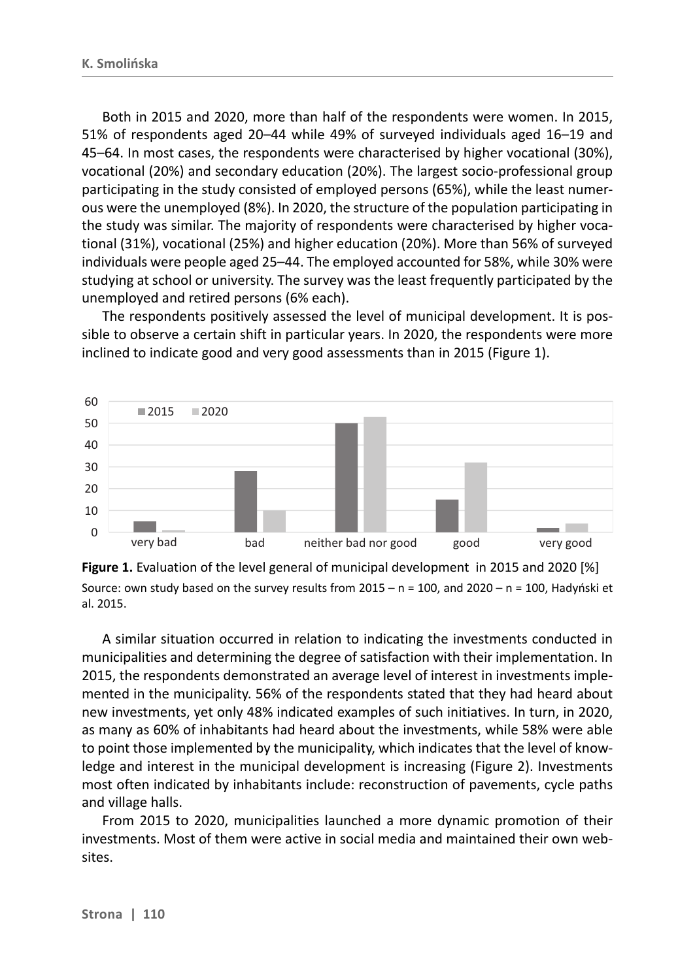Both in 2015 and 2020, more than half of the respondents were women. In 2015, 51% of respondents aged 20–44 while 49% of surveyed individuals aged 16–19 and 45–64. In most cases, the respondents were characterised by higher vocational (30%), vocational (20%) and secondary education (20%). The largest socio-professional group participating in the study consisted of employed persons (65%), while the least numerous were the unemployed (8%). In 2020, the structure of the population participating in the study was similar. The majority of respondents were characterised by higher vocational (31%), vocational (25%) and higher education (20%). More than 56% of surveyed individuals were people aged 25–44. The employed accounted for 58%, while 30% were studying at school or university. The survey was the least frequently participated by the unemployed and retired persons (6% each).

The respondents positively assessed the level of municipal development. It is possible to observe a certain shift in particular years. In 2020, the respondents were more inclined to indicate good and very good assessments than in 2015 (Figure 1).





A similar situation occurred in relation to indicating the investments conducted in municipalities and determining the degree of satisfaction with their implementation. In 2015, the respondents demonstrated an average level of interest in investments implemented in the municipality. 56% of the respondents stated that they had heard about new investments, yet only 48% indicated examples of such initiatives. In turn, in 2020, as many as 60% of inhabitants had heard about the investments, while 58% were able to point those implemented by the municipality, which indicates that the level of knowledge and interest in the municipal development is increasing (Figure 2). Investments most often indicated by inhabitants include: reconstruction of pavements, cycle paths and village halls.

From 2015 to 2020, municipalities launched a more dynamic promotion of their investments. Most of them were active in social media and maintained their own websites.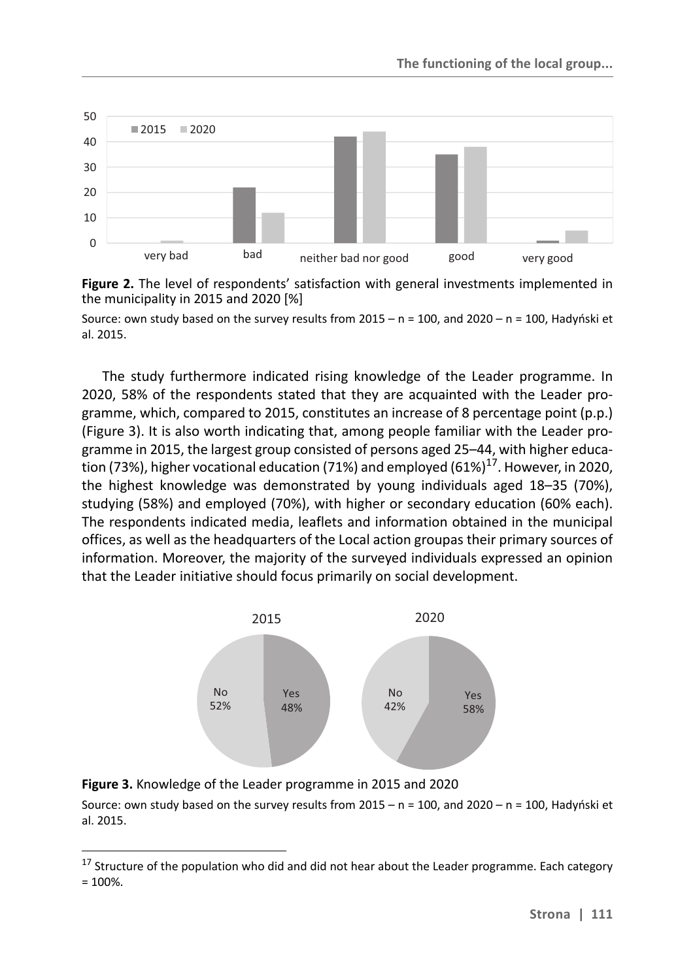

**Figure 2.** The level of respondents' satisfaction with general investments implemented in the municipality in 2015 and 2020 [%]

Source: own study based on the survey results from 2015 –  $n = 100$ , and 2020 –  $n = 100$ , Hadyński et al. 2015.

The study furthermore indicated rising knowledge of the Leader programme. In 2020, 58% of the respondents stated that they are acquainted with the Leader programme, which, compared to 2015, constitutes an increase of 8 percentage point (p.p.) (Figure 3). It is also worth indicating that, among people familiar with the Leader programme in 2015, the largest group consisted of persons aged 25–44, with higher education (73%), higher vocational education (71%) and employed (61%) $^{17}$ . However, in 2020. the highest knowledge was demonstrated by young individuals aged 18–35 (70%), studying (58%) and employed (70%), with higher or secondary education (60% each). The respondents indicated media, leaflets and information obtained in the municipal offices, as well as the headquarters of the Local action groupas their primary sources of information. Moreover, the majority of the surveyed individuals expressed an opinion that the Leader initiative should focus primarily on social development.





Source: own study based on the survey results from 2015 – n = 100, and 2020 – n = 100, Hadyński et al. 2015.

<sup>&</sup>lt;sup>17</sup> Structure of the population who did and did not hear about the Leader programme. Each category  $= 100\%$ .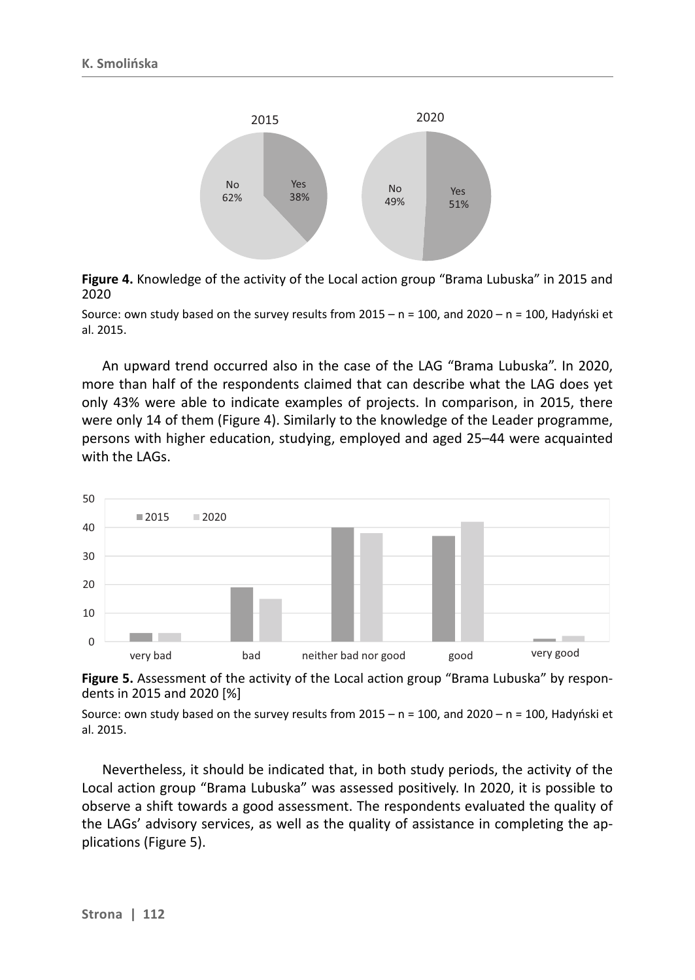

**Figure 4.** Knowledge of the activity of the Local action group "Brama Lubuska" in 2015 and 2020

Source: own study based on the survey results from 2015 – n = 100, and 2020 – n = 100, Hadyński et al. 2015.

An upward trend occurred also in the case of the LAG "Brama Lubuska". In 2020, more than half of the respondents claimed that can describe what the LAG does yet only 43% were able to indicate examples of projects. In comparison, in 2015, there were only 14 of them (Figure 4). Similarly to the knowledge of the Leader programme, persons with higher education, studying, employed and aged 25–44 were acquainted with the LAGs.



**Figure 5.** Assessment of the activity of the Local action group "Brama Lubuska" by respondents in 2015 and 2020 [%]

Source: own study based on the survey results from 2015 – n = 100, and 2020 – n = 100, Hadyński et al. 2015.

Nevertheless, it should be indicated that, in both study periods, the activity of the Local action group "Brama Lubuska" was assessed positively. In 2020, it is possible to observe a shift towards a good assessment. The respondents evaluated the quality of the LAGs' advisory services, as well as the quality of assistance in completing the applications (Figure 5).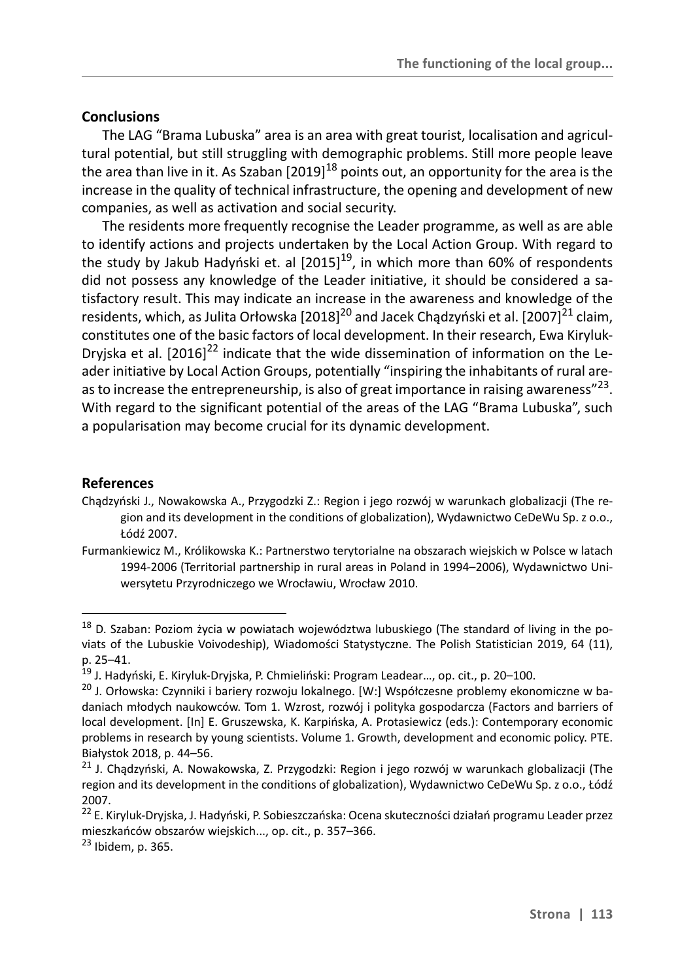### **Conclusions**

The LAG "Brama Lubuska" area is an area with great tourist, localisation and agricultural potential, but still struggling with demographic problems. Still more people leave the area than live in it. As Szaban  $[2019]^{18}$  points out, an opportunity for the area is the increase in the quality of technical infrastructure, the opening and development of new companies, as well as activation and social security.

The residents more frequently recognise the Leader programme, as well as are able to identify actions and projects undertaken by the Local Action Group. With regard to the study by Jakub Hadyński et. al  $[2015]^{19}$ , in which more than 60% of respondents did not possess any knowledge of the Leader initiative, it should be considered a satisfactory result. This may indicate an increase in the awareness and knowledge of the residents, which, as Julita Orłowska  $[2018]^{20}$  and Jacek Chądzyński et al.  $[2007]^{21}$  claim, constitutes one of the basic factors of local development. In their research, Ewa Kiryluk-Dryjska et al.  $[2016]^{22}$  indicate that the wide dissemination of information on the Leader initiative by Local Action Groups, potentially "inspiring the inhabitants of rural areas to increase the entrepreneurship, is also of great importance in raising awareness"<sup>23</sup>. With regard to the significant potential of the areas of the LAG "Brama Lubuska", such a popularisation may become crucial for its dynamic development.

#### **References**

- Chądzyński J., Nowakowska A., Przygodzki Z.: Region i jego rozwój w warunkach globalizacji (The region and its development in the conditions of globalization), Wydawnictwo CeDeWu Sp. z o.o., Łódź 2007.
- Furmankiewicz M., Królikowska K.: Partnerstwo terytorialne na obszarach wiejskich w Polsce w latach 1994-2006 (Territorial partnership in rural areas in Poland in 1994–2006), Wydawnictwo Uniwersytetu Przyrodniczego we Wrocławiu, Wrocław 2010.

 $18$  D. Szaban: Poziom życia w powiatach województwa lubuskiego (The standard of living in the poviats of the Lubuskie Voivodeship), Wiadomości Statystyczne. The Polish Statistician 2019, 64 (11), p. 25–41.<br><sup>19</sup> J. Hadvński, E. Kiryluk-Dryjska, P. Chmieliński: Program Leadear..., op. cit., p. 20–100.

<sup>&</sup>lt;sup>20</sup> J. Orłowska: Czynniki i bariery rozwoju lokalnego. [W:] Współczesne problemy ekonomiczne w badaniach młodych naukowców. Tom 1. Wzrost, rozwój i polityka gospodarcza (Factors and barriers of local development. [In] E. Gruszewska, K. Karpińska, A. Protasiewicz (eds.): Contemporary economic problems in research by young scientists. Volume 1. Growth, development and economic policy. PTE. Białystok 2018, p. 44–56.<br><sup>21</sup> J. Chądzyński, A. Nowakowska, Z. Przygodzki: Region i jego rozwój w warunkach globalizacji (The

region and its development in the conditions of globalization), Wydawnictwo CeDeWu Sp. z o.o., Łódź 2007.

<sup>22</sup> E. Kiryluk-Dryjska, J. Hadyński, P. Sobieszczańska: Ocena skuteczności działań programu Leader przez mieszkańców obszarów wiejskich..., op. cit., p. 357–366.<br><sup>23</sup> Ibidem. p. 365.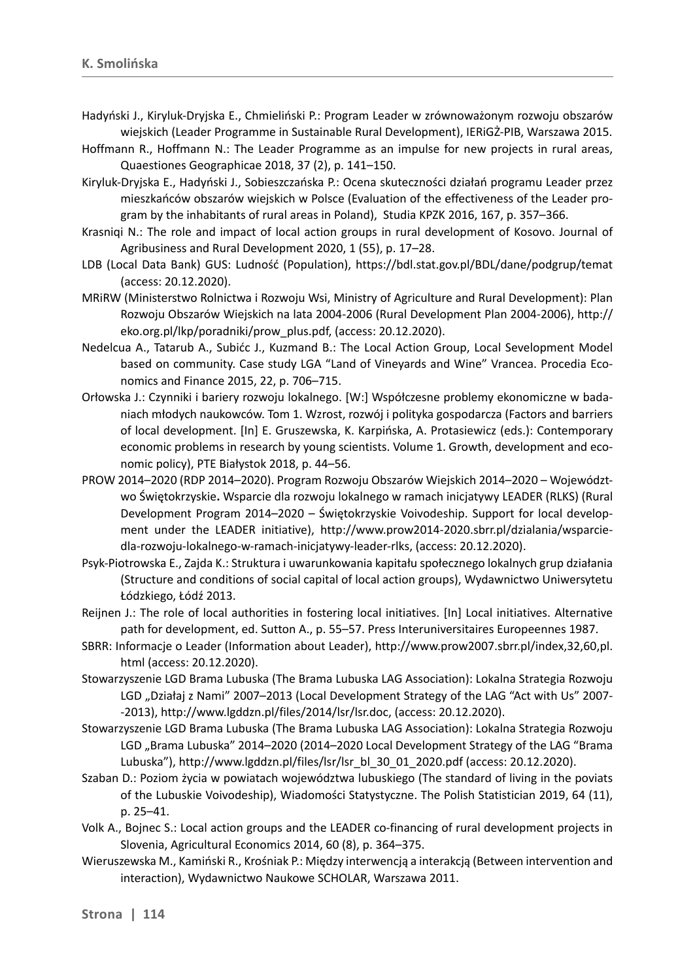- Hadyński J., Kiryluk-Dryjska E., Chmieliński P.: Program Leader w zrównoważonym rozwoju obszarów wiejskich (Leader Programme in Sustainable Rural Development), IERiGŻ-PIB, Warszawa 2015.
- Hoffmann R., Hoffmann N.: The Leader Programme as an impulse for new projects in rural areas, Quaestiones Geographicae 2018, 37 (2), p. 141–150.
- Kiryluk-Dryjska E., Hadyński J., Sobieszczańska P.: Ocena skuteczności działań programu Leader przez mieszkańców obszarów wiejskich w Polsce (Evaluation of the effectiveness of the Leader program by the inhabitants of rural areas in Poland), Studia KPZK 2016, 167, p. 357–366.
- Krasniqi N.: The role and impact of local action groups in rural development of Kosovo. Journal of Agribusiness and Rural Development 2020, 1 (55), p. 17–28.
- LDB (Local Data Bank) GUS: Ludność (Population), https://bdl.stat.gov.pl/BDL/dane/podgrup/temat (access: 20.12.2020).
- MRiRW (Ministerstwo Rolnictwa i Rozwoju Wsi, Ministry of Agriculture and Rural Development): Plan Rozwoju Obszarów Wiejskich na lata 2004-2006 (Rural Development Plan 2004-2006), http:// eko.org.pl/lkp/poradniki/prow\_plus.pdf, (access: 20.12.2020).
- Nedelcua A., Tatarub A., Subićc J., Kuzmand B.: The Local Action Group, Local Sevelopment Model based on community. Case study LGA "Land of Vineyards and Wine" Vrancea. Procedia Economics and Finance 2015, 22, p. 706–715.
- Orłowska J.: Czynniki i bariery rozwoju lokalnego. [W:] Współczesne problemy ekonomiczne w badaniach młodych naukowców. Tom 1. Wzrost, rozwój i polityka gospodarcza (Factors and barriers of local development. [In] E. Gruszewska, K. Karpińska, A. Protasiewicz (eds.): Contemporary economic problems in research by young scientists. Volume 1. Growth, development and economic policy), PTE Białystok 2018, p. 44–56.
- PROW 2014–2020 (RDP 2014–2020). Program Rozwoju Obszarów Wiejskich 2014–2020 Województwo Świętokrzyskie**.** Wsparcie dla rozwoju lokalnego w ramach inicjatywy LEADER (RLKS) (Rural Development Program 2014–2020 – Świętokrzyskie Voivodeship. Support for local development under the LEADER initiative), http://www.prow2014-2020.sbrr.pl/dzialania/wsparciedla-rozwoju-lokalnego-w-ramach-inicjatywy-leader-rlks, (access: 20.12.2020).
- Psyk-Piotrowska E., Zajda K.: Struktura i uwarunkowania kapitału społecznego lokalnych grup działania (Structure and conditions of social capital of local action groups), Wydawnictwo Uniwersytetu Łódzkiego, Łódź 2013.
- Reijnen J.: The role of local authorities in fostering local initiatives. [In] Local initiatives. Alternative path for development, ed. Sutton A., p. 55–57. Press Interuniversitaires Europeennes 1987.
- SBRR: Informacje o Leader (Information about Leader), http://www.prow2007.sbrr.pl/index,32,60,pl. html (access: 20.12.2020).
- Stowarzyszenie LGD Brama Lubuska (The Brama Lubuska LAG Association): Lokalna Strategia Rozwoju LGD "Działaj z Nami" 2007–2013 (Local Development Strategy of the LAG "Act with Us" 2007- -2013), http://www.lgddzn.pl/files/2014/lsr/lsr.doc, (access: 20.12.2020).
- Stowarzyszenie LGD Brama Lubuska (The Brama Lubuska LAG Association): Lokalna Strategia Rozwoju LGD "Brama Lubuska" 2014–2020 (2014–2020 Local Development Strategy of the LAG "Brama Lubuska"), http://www.lgddzn.pl/files/lsr/lsr\_bl\_30\_01\_2020.pdf (access: 20.12.2020).
- Szaban D.: Poziom życia w powiatach województwa lubuskiego (The standard of living in the poviats of the Lubuskie Voivodeship), Wiadomości Statystyczne. The Polish Statistician 2019, 64 (11), p. 25–41.
- Volk A., Bojnec S.: Local action groups and the LEADER co-financing of rural development projects in Slovenia, Agricultural Economics 2014, 60 (8), p. 364–375.
- Wieruszewska M., Kamiński R., Krośniak P.: Między interwencją a interakcją (Between intervention and interaction), Wydawnictwo Naukowe SCHOLAR, Warszawa 2011.